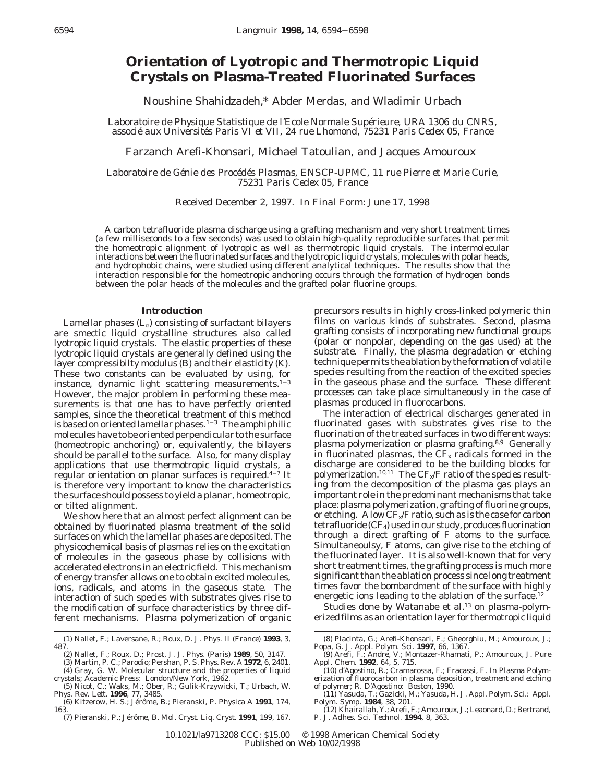# **Orientation of Lyotropic and Thermotropic Liquid Crystals on Plasma-Treated Fluorinated Surfaces**

Noushine Shahidzadeh,\* Abder Merdas, and Wladimir Urbach

*Laboratoire de Physique Statistique de l'Ecole Normale Supe*´*rieure, URA 1306 du CNRS, associe*´ *aux Universite*´*s Paris VI et VII, 24 rue Lhomond, 75231 Paris Cedex 05, France*

Farzanch Arefi-Khonsari, Michael Tatoulian, and Jacques Amouroux

*Laboratoire de Ge*´*nie des Proce*´*de*´*s Plasmas, ENSCP-UPMC, 11 rue Pierre et Marie Curie, 75231 Paris Cedex 05, France*

*Received December 2, 1997. In Final Form: June 17, 1998*

A carbon tetrafluoride plasma discharge using a grafting mechanism and very short treatment times (a few milliseconds to a few seconds) was used to obtain high-quality reproducible surfaces that permit the homeotropic alignment of lyotropic as well as thermotropic liquid crystals. The intermolecular interactions between the fluorinated surfaces and the lyotropic liquid crystals, molecules with polar heads, and hydrophobic chains, were studied using different analytical techniques. The results show that the interaction responsible for the homeotropic anchoring occurs through the formation of hydrogen bonds between the polar heads of the molecules and the grafted polar fluorine groups.

### **Introduction**

Lamellar phases  $(L_{\alpha})$  consisting of surfactant bilayers are smectic liquid crystalline structures also called lyotropic liquid crystals. The elastic properties of these lyotropic liquid crystals are generally defined using the layer compressibilty modulus (*B*) and their elasticity (*K*). These two constants can be evaluated by using, for instance, dynamic light scattering measurements. $1-3$ However, the major problem in performing these measurements is that one has to have perfectly oriented samples, since the theoretical treatment of this method is based on oriented lamellar phases.<sup>1-3</sup> The amphiphilic molecules have to be oriented perpendicular to the surface (homeotropic anchoring) or, equivalently, the bilayers should be parallel to the surface. Also, for many display applications that use thermotropic liquid crystals, a regular orientation on planar surfaces is required.4-<sup>7</sup> It is therefore very important to know the characteristics the surface should possess to yield a planar, homeotropic, or tilted alignment.

We show here that an almost perfect alignment can be obtained by fluorinated plasma treatment of the solid surfaces on which the lamellar phases are deposited. The physicochemical basis of plasmas relies on the excitation of molecules in the gaseous phase by collisions with accelerated electrons in an electric field. This mechanism of energy transfer allows one to obtain excited molecules, ions, radicals, and atoms in the gaseous state. The interaction of such species with substrates gives rise to the modification of surface characteristics by three different mechanisms. Plasma polymerization of organic

precursors results in highly cross-linked polymeric thin films on various kinds of substrates. Second, plasma grafting consists of incorporating new functional groups (polar or nonpolar, depending on the gas used) at the substrate. Finally, the plasma degradation or etching technique permits the ablation by the formation of volatile species resulting from the reaction of the excited species in the gaseous phase and the surface. These different processes can take place simultaneously in the case of plasmas produced in fluorocarbons.

The interaction of electrical discharges generated in fluorinated gases with substrates gives rise to the fluorination of the treated surfaces in two different ways: plasma polymerization or plasma grafting.8,9 Generally in fluorinated plasmas, the CF*<sup>x</sup>* radicals formed in the discharge are considered to be the building blocks for polymerization.<sup>10,11</sup> The CF<sub>x</sub>/F ratio of the species resulting from the decomposition of the plasma gas plays an important role in the predominant mechanisms that take place: plasma polymerization, grafting of fluorine groups, or etching. A low CF*x*/F ratio, such as is the case for carbon tetrafluoride (CF4) used in our study, produces fluorination through a direct grafting of F atoms to the surface. Simultaneoulsy, F atoms, can give rise to the etching of the fluorinated layer. It is also well-known that for very short treatment times, the grafting process is much more significant than the ablation process since long treatment times favor the bombardment of the surface with highly energetic ions leading to the ablation of the surface.<sup>12</sup>

Studies done by Watanabe et al. $13$  on plasma-polymerized films as an orientation layer for thermotropic liquid

<sup>(1)</sup> Nallet, F.; Laversane, R.; Roux, D. *J. Phys. II (France)* **1993**, *3*, 487.

<sup>(2)</sup> Nallet, F.; Roux, D.; Prost, J. *J. Phys. (Paris)* **1989**, 50, 3147.<br>(3) Martin, P. C.; Parodio; Pershan, P. S. *Phys. Rev. A* **1972**, 6, 2401.<br>(4) Gray, G. W. *Molecular structure and the properties of liquid* 

crystals; Academic Press: London/New York, 1962.<br>
(5) Nicot, C.; Waks, M.; Ober, R.; Gulik-Krzywicki, T.; Urbach, W.<br>
Phys. Rev. Lett. 1996, 77, 3485.<br>
(6) Kitzerow, H. S.; Jérôme, B.; Pieranski, P. Physica A 1991, 174,

<sup>163.</sup>

<sup>(7)</sup> Pieranski, P.; Je´roˆme, B. *Mol. Cryst. Liq. Cryst*. **1991**, *199*, 167.

<sup>(8)</sup> Placinta, G.; Arefi-Khonsari, F.; Gheorghiu, M.; Amouroux, J.;

Popa, G. *J. Appl. Polym. Sci.* **1997**, 66, 1367.<br>(9) Arefi, F.; Andre, V.; Montazer-Rhamati, P.; Amouroux, J. *Pure*<br>*Appl. Chem.* **1992**, 64, 5, 715.<br>(10) d'Agostino, R.; Cramarossa, F.; Fracassi, F. In *Plasma Polym* 

*erization of fluorocarbon in plasma deposition, treatment and etching of polymer*; R. D'Agostino: Boston, 1990.

<sup>(11)</sup> Yasuda, T.; Gazicki, M.; Yasuda, H. *J. Appl. Polym. Sci.: Appl. Polym. Symp*. **1984**, *38*, 201. (12) Khairallah, Y.; Arefi, F.; Amouroux, J.; Leaonard, D.; Bertrand,

P. *J. Adhes. Sci. Technol*. **1994**, *8*, 363.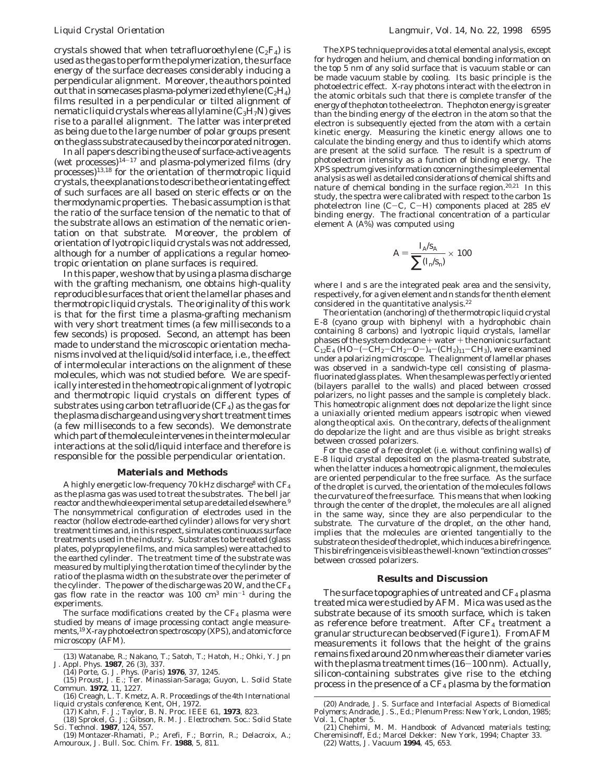crystals showed that when tetrafluoroethylene  $(C_2F_4)$  is used as the gas to perform the polymerization, the surface energy of the surface decreases considerably inducing a perpendicular alignment. Moreover, the authors pointed out that in some cases plasma-polymerized ethylene  $(C_2H_4)$ films resulted in a perpendicular or tilted alignment of nematic liquid crystals whereas allylamine  $(C_3H_7N)$  gives rise to a parallel alignment. The latter was interpreted as being due to the large number of polar groups present on the glass substrate caused by the incorporated nitrogen.

In all papers describing the use of surface-active agents (wet processes) $14-17$  and plasma-polymerized films (dry  $processes)$ <sup>13,18</sup> for the orientation of thermotropic liquid crystals, the explanations to describe the orientating effect of such surfaces are all based on steric effects or on the thermodynamic properties. The basic assumption is that the ratio of the surface tension of the nematic to that of the substrate allows an estimation of the nematic orientation on that substrate. Moreover, the problem of orientation of lyotropic liquid crystals was not addressed, although for a number of applications a regular homeotropic orientation on plane surfaces is required.

In this paper, we show that by using a plasma discharge with the grafting mechanism, one obtains high-quality reproducible surfaces that orient the lamellar phases and thermotropic liquid crystals. The originality of this work is that for the first time a plasma-grafting mechanism with very short treatment times (a few milliseconds to a few seconds) is proposed. Second, an attempt has been made to understand the microscopic orientation mechanisms involved at the liquid/solid interface, i.e., the effect of intermolecular interactions on the alignment of these molecules, which was not studied before. We are specifically interested in the homeotropic alignment of lyotropic and thermotropic liquid crystals on different types of substrates using carbon tetrafluoride  $(CF_4)$  as the gas for the plasma discharge and using very short treatment times (a few milliseconds to a few seconds). We demonstrate which part of the molecule intervenes in the intermolecular interactions at the solid/liquid interface and therefore is responsible for the possible perpendicular orientation.

## **Materials and Methods**

A highly energetic low-frequency 70 kHz discharge<sup>8</sup> with  $CF_4$ as the plasma gas was used to treat the substrates. The bell jar reactor and the whole experimental setup are detailed elsewhere.9 The nonsymmetrical configuration of electrodes used in the reactor (hollow electrode-earthed cylinder) allows for very short treatment times and, in this respect, simulates continuous surface treatments used in the industry. Substrates to be treated (glass plates, polypropylene films, and mica samples) were attached to the earthed cylinder. The treatment time of the substrate was measured by multiplying the rotation time of the cylinder by the ratio of the plasma width on the substrate over the perimeter of the cylinder. The power of the discharge was 20 W, and the  $CF_4$ gas flow rate in the reactor was  $10\overline{0}$  cm<sup>3</sup> min<sup>-1</sup> during the experiments.

The surface modifications created by the  $CF<sub>4</sub>$  plasma were studied by means of image processing contact angle measurements,19 X-ray photoelectron spectroscopy (XPS), and atomic force microscopy (AFM).

(13) Watanabe, R.; Nakano, T.; Satoh, T.; Hatoh, H.; Ohki, Y. *Jpn J. Appl. Phys*. **1987**, *26* (3), 337.

(14) Porte, G. *J. Phys. (Paris)* **1976**, *37*, 1245. (15) Proust, J. E.; Ter. Minassian-Saraga; Guyon, L. *Solid State Commun.* **1972**, *11*, 1227.

(18) Sprokel, G. J.; Gibson, R. M. *J. Electrochem. Soc.: Solid State Sci. Technol.* **1987**, *124*, 557.

(19) Montazer-Rhamati, P.; Arefi, F.; Borrin, R.; Delacroix, A.; Amouroux, J. *Bull. Soc. Chim. Fr*. **1988**, *5*, 811.

The XPS technique provides a total elemental analysis, except for hydrogen and helium, and chemical bonding information on the top 5 nm of any solid surface that is vacuum stable or can be made vacuum stable by cooling. Its basic principle is the photoelectric effect. X-ray photons interact with the electron in the atomic orbitals such that there is complete transfer of the energy of the photon to the electron. The photon energy is greater than the binding energy of the electron in the atom so that the electron is subsequently ejected from the atom with a certain kinetic energy. Measuring the kinetic energy allows one to calculate the binding energy and thus to identify which atoms are present at the solid surface. The result is a spectrum of photoelectron intensity as a function of binding energy. The XPS spectrum gives information concerning the simple elemental analysis as well as detailed considerations of chemical shifts and nature of chemical bonding in the surface region.20,21 In this study, the spectra were calibrated with respect to the carbon 1s photelectron line (C-C, C-H) components placed at 285 eV binding energy. The fractional concentration of a particular element *A* (*A*%) was computed using

$$
A = \frac{I_{\rm A}/s_{\rm A}}{\sum (I_{\rm r}/s_{\rm n})} \times 100
$$

where *I* and *s* are the integrated peak area and the sensivity, respectively, for a given element and *n* stands for the *n*th element considered in the quantitative analysis.<sup>22</sup>

The orientation (anchoring) of the thermotropic liquid crystal E-8 (cyano group with biphenyl with a hydrophobic chain containing 8 carbons) and lyotropic liquid crystals, lamellar  $phases$  of the system dodecane  $+$  water  $+$  the nonionic surfactant  $C_{12}E_4$  (HO-(-CH<sub>2</sub>-CH<sub>2</sub>-O-)<sub>4</sub>-(CH<sub>2</sub>)<sub>11</sub>-CH<sub>3</sub>), were examined under a polarizing microscope. The alignment of lamellar phases was observed in a sandwich-type cell consisting of plasmafluorinated glass plates. When the sample was perfectly oriented (bilayers parallel to the walls) and placed between crossed polarizers, no light passes and the sample is completely black. This homeotropic alignment does not depolarize the light since a uniaxially oriented medium appears isotropic when viewed along the optical axis. On the contrary, defects of the alignment do depolarize the light and are thus visible as bright streaks between crossed polarizers.

For the case of a free droplet (i.e. without confining walls) of E-8 liquid crystal deposited on the plasma-treated substrate, when the latter induces a homeotropic alignment, the molecules are oriented perpendicular to the free surface. As the surface of the droplet is curved, the orientation of the molecules follows the curvature of the free surface. This means that when looking through the center of the droplet, the molecules are all aligned in the same way, since they are also perpendicular to the substrate. The curvature of the droplet, on the other hand, implies that the molecules are oriented tangentially to the substrate on the side of the droplet, which induces a birefringence. This birefringence is visible as the well-known "extinction crosses" between crossed polarizers.

### **Results and Discussion**

The surface topographies of untreated and  $CF_4$  plasma treated mica were studied by AFM. Mica was used as the substrate because of its smooth surface, which is taken as reference before treatment. After CF<sub>4</sub> treatment a granular structure can be observed (Figure 1). From AFM measurements it follows that the height of the grains remains fixed around 20 nm whereas their diameter varies with the plasma treatment times  $(16-100 \text{ nm})$ . Actually, silicon-containing substrates give rise to the etching process in the presence of a  $CF_4$  plasma by the formation

<sup>(16)</sup> Creagh, L. T. Kmetz, A. R. *Proceedings of the 4th International liquid crystals conference*, Kent, OH, 1972. (17) Kahn, F. J.; Taylor, B. N. *Proc. IEEE 61*, **1973**, 823.

<sup>(20)</sup> Andrade, J. S. *Surface and Interfacial Aspects of Biomedical Polymers*; Andrade, J. S., Ed.; Plenum Press: New York, London, 1985; Vol. 1, Chapter 5.

<sup>(21)</sup> Chehimi, M. M. *Handbook of Advanced materials testing*; Cheremisinoff, Ed.; Marcel Dekker: New York, 1994; Chapter 33. (22) Watts, J. *Vacuum* **1994**, *45*, 653.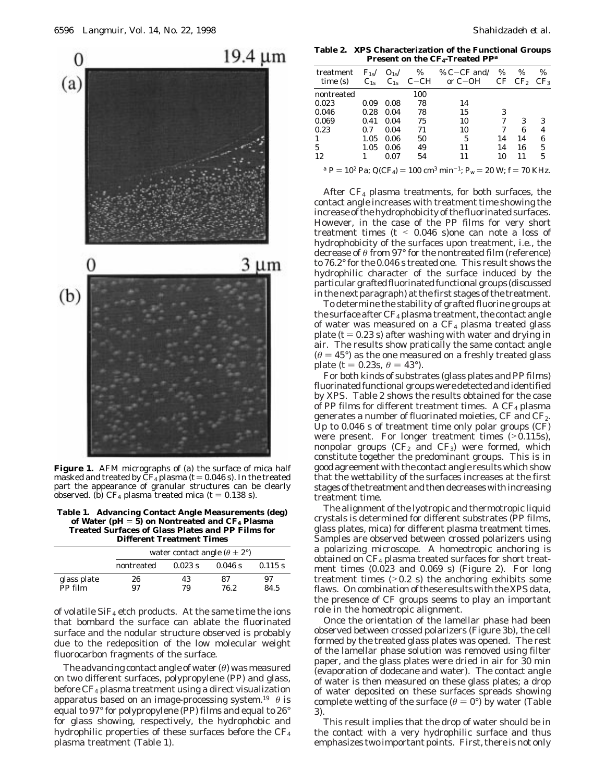

**Figure 1.** AFM micrographs of (a) the surface of mica half masked and treated by  $\text{CF}_4$  plasma ( $t = 0.046$  s). In the treated part the appearance of granular structures can be clearly observed. (b)  $CF_4$  plasma treated mica ( $t = 0.138$  s).

**Table 1. Advancing Contact Angle Measurements (deg)** of Water ( $pH = \overline{5}$ ) on Nontreated and  $CF_4$  Plasma **Treated Surfaces of Glass Plates and PP Films for Different Treatment Times**

|                                | water contact angle ( $\theta \pm 2^{\circ}$ ) |         |         |         |  |  |
|--------------------------------|------------------------------------------------|---------|---------|---------|--|--|
|                                | nontreated                                     | 0.023 s | 0.046 s | 0.115 s |  |  |
| glass plate<br>$\bar{P}P$ film | 26                                             | 43      | 87      | 97      |  |  |
|                                | 97                                             | 79      | 76.2    | 84.5    |  |  |

of volatile  $\text{SiF}_4$  etch products. At the same time the ions that bombard the surface can ablate the fluorinated surface and the nodular structure observed is probably due to the redeposition of the low molecular weight fluorocarbon fragments of the surface.

The advancing contact angle of water (*θ*) was measured on two different surfaces, polypropylene (PP) and glass, before CF<sub>4</sub> plasma treatment using a direct visualization apparatus based on an image-processing system.19 *θ* is equal to 97° for polypropylene (PP) films and equal to 26° for glass showing, respectively, the hydrophobic and hydrophilic properties of these surfaces before the  $CF_4$ plasma treatment (Table 1).

**Table 2. XPS Characterization of the Functional Groups Present on the CF4-Treated PP***<sup>a</sup>*

| treatment  | ${\rm F}_{1s}$ / | $O_{1s}$ | %       | % $C$ – $CF$ and/ | %  | %               | %              |
|------------|------------------|----------|---------|-------------------|----|-----------------|----------------|
| time (s)   | $C_{1s}$         | $C_{1s}$ | $C$ -CH | or $C$ –OH        | СF | CF <sub>2</sub> | ${C\!F}_3$     |
| nontreated |                  |          | 100     |                   |    |                 |                |
| 0.023      | 0.09             | 0.08     | 78      | 14                |    |                 |                |
| 0.046      | 0.28             | 0.04     | 78      | 15                | 3  |                 |                |
| 0.069      | 0.41             | 0.04     | 75      | 10                |    | 3               | 3              |
| 0.23       | 0.7              | 0.04     | 71      | 10                |    | 6               | $\overline{4}$ |
| 1          | 1.05             | 0.06     | 50      | 5                 | 14 | 14              | 6              |
| 5          | 1.05             | 0.06     | 49      | 11                | 14 | 16              | 5              |
| 12         |                  | 0.07     | 54      | 11                | 10 | 11              | 5              |

*a*  $P = 10^2$  Pa;  $Q(CF_4) = 100$  cm<sup>3</sup> min<sup>-1</sup>;  $P_w = 20$  W;  $f = 70$  KHz.

After  $CF_4$  plasma treatments, for both surfaces, the contact angle increases with treatment time showing the increase of the hydrophobicity of the fluorinated surfaces. However, in the case of the PP films for very short treatment times  $(t < 0.046$  s) one can note a loss of hydrophobicity of the surfaces upon treatment, i.e., the decrease of *θ* from 97° for the nontreated film (reference) to 76.2° for the 0.046 s treated one. This result shows the hydrophilic character of the surface induced by the particular grafted fluorinated functional groups (discussed in the next paragraph) at the first stages of the treatment.

To determine the stability of grafted fluorine groups at the surface after  $CF_4$  plasma treatment, the contact angle of water was measured on a  $CF_4$  plasma treated glass plate  $(t = 0.23$  s) after washing with water and drying in air. The results show pratically the same contact angle  $(\theta = 45^{\circ})$  as the one measured on a freshly treated glass plate ( $t = 0.23$ s,  $\theta = 43^{\circ}$ ).

For both kinds of substrates (glass plates and PP films) fluorinated functional groups were detected and identified by XPS. Table 2 shows the results obtained for the case of PP films for different treatment times. A  $CF_4$  plasma generates a number of fluorinated moieties, CF and  $CF_2$ . Up to 0.046 s of treatment time only polar groups (CF) were present. For longer treatment times (>0.115s), nonpolar groups  $(CF_2$  and  $CF_3$ ) were formed, which constitute together the predominant groups. This is in good agreement with the contact angle results which show that the wettability of the surfaces increases at the first stages of the treatment and then decreases with increasing treatment time.

The alignment of the lyotropic and thermotropic liquid crystals is determined for different substrates (PP films, glass plates, mica) for different plasma treatment times. Samples are observed between crossed polarizers using a polarizing microscope. A homeotropic anchoring is obtained on  $CF_4$  plasma treated surfaces for short treatment times (0.023 and 0.069 s) (Figure 2). For long treatment times  $(>0.2 \text{ s})$  the anchoring exhibits some flaws. On combination of these results with the XPS data, the presence of CF groups seems to play an important role in the homeotropic alignment.

Once the orientation of the lamellar phase had been observed between crossed polarizers (Figure 3b), the cell formed by the treated glass plates was opened. The rest of the lamellar phase solution was removed using filter paper, and the glass plates were dried in air for 30 min (evaporation of dodecane and water). The contact angle of water is then measured on these glass plates; a drop of water deposited on these surfaces spreads showing complete wetting of the surface  $(\theta = 0^{\circ})$  by water (Table 3).

This result implies that the drop of water should be in the contact with a very hydrophilic surface and thus emphasizes two important points. First, there is not only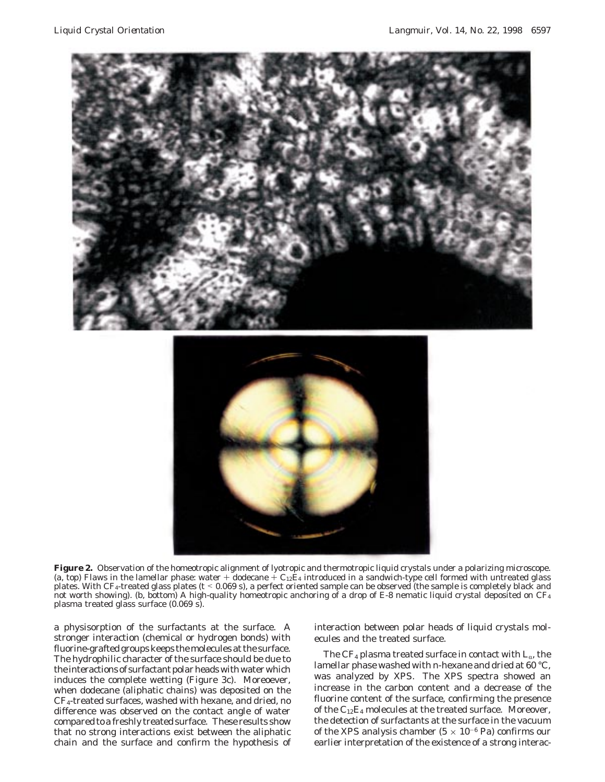



**Figure 2.** Observation of the homeotropic alignment of lyotropic and thermotropic liquid crystals under a polarizing microscope. (a, top) Flaws in the lamellar phase: water + dodecane +  $C_{12}E_4$  introduced in a sandwich-type cell formed with untreated glass plates. With CF4-treated glass plates (*<sup>t</sup>* < 0.069 s), a perfect oriented sample can be observed (the sample is completely black and not worth showing). (b, bottom) A high-quality homeotropic anchoring of a drop of E-8 nematic liquid crystal deposited on  $CF_4$ plasma treated glass surface (0.069 s).

a physisorption of the surfactants at the surface. A stronger interaction (chemical or hydrogen bonds) with fluorine-grafted groups keeps the molecules at the surface. The hydrophilic character of the surface should be due to the interactions of surfactant polar heads with water which induces the complete wetting (Figure 3c). Moreoever, when dodecane (aliphatic chains) was deposited on the CF4-treated surfaces, washed with hexane, and dried, no difference was observed on the contact angle of water compared to a freshly treated surface. These results show that no strong interactions exist between the aliphatic chain and the surface and confirm the hypothesis of

interaction between polar heads of liquid crystals molecules and the treated surface.

The CF<sub>4</sub> plasma treated surface in contact with  $L_{\alpha}$ , the lamellar phase washed with *n*-hexane and dried at 60 °C, was analyzed by XPS. The XPS spectra showed an increase in the carbon content and a decrease of the fluorine content of the surface, confirming the presence of the  $C_{12}E_4$  molecules at the treated surface. Moreover, the detection of surfactants at the surface in the vacuum of the XPS analysis chamber ( $5 \times 10^{-6}$  Pa) confirms our earlier interpretation of the existence of a strong interac-